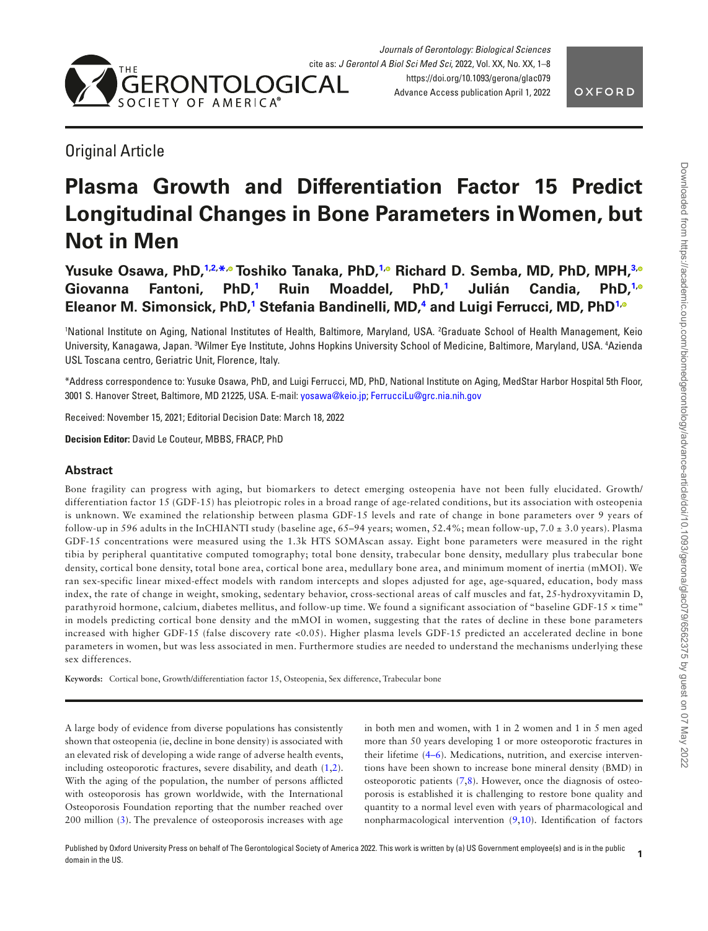

# Original Article

# **Plasma Growth and Differentiation Factor 15 Predict Longitudinal Changes in Bone Parameters in Women, but Not in Men**

**Yusuke Osawa, PhD,[1,](#page-0-0)[2,](#page-0-1) [\\*](#page-0-2)[,](https://orcid.org/0000-0002-7706-5166) Toshiko Tanaka, PhD,[1](#page-0-0)[,](https://orcid.org/0000-0002-4161-3829) Richard D. Semba, MD, PhD, MPH,[3](#page-0-3)[,](https://orcid.org/0000-0002-8350-2908) Giovanna Fantoni, PhD[,1](#page-0-0) Ruin Moaddel, PhD,[1](#page-0-0) Julián Candia, PhD,[1](#page-0-0)[,](https://orcid.org/0000-0001-5793-8989) Eleanor M. Simonsick, PhD[,1](#page-0-0) Stefania Bandinelli, MD[,4](#page-0-4) and Luigi Ferrucci, MD, PhD[1](#page-0-0)[,](https://orcid.org/0000-0002-6273-1613)**

<span id="page-0-4"></span><span id="page-0-3"></span><span id="page-0-1"></span><span id="page-0-0"></span>'National Institute on Aging, National Institutes of Health, Baltimore, Maryland, USA. <sup>2</sup>Graduate School of Health Management, Keio University, Kanagawa, Japan. <sup>3</sup>Wilmer Eye Institute, Johns Hopkins University School of Medicine, Baltimore, Maryland, USA. <sup>4</sup>Azienda USL Toscana centro, Geriatric Unit, Florence, Italy.

<span id="page-0-2"></span>\*Address correspondence to: Yusuke Osawa, PhD, and Luigi Ferrucci, MD, PhD, National Institute on Aging, MedStar Harbor Hospital 5th Floor, 3001 S. Hanover Street, Baltimore, MD 21225, USA. E-mail: [yosawa@keio.jp](mailto:yosawa@keio.jp?subject=); [FerrucciLu@grc.nia.nih.gov](mailto:FerrucciLu@grc.nia.nih.gov?subject=)

Received: November 15, 2021; Editorial Decision Date: March 18, 2022

**Decision Editor:** David Le Couteur, MBBS, FRACP, PhD

## **Abstract**

Bone fragility can progress with aging, but biomarkers to detect emerging osteopenia have not been fully elucidated. Growth/ differentiation factor 15 (GDF-15) has pleiotropic roles in a broad range of age-related conditions, but its association with osteopenia is unknown. We examined the relationship between plasma GDF-15 levels and rate of change in bone parameters over 9 years of follow-up in 596 adults in the InCHIANTI study (baseline age, 65–94 years; women, 52.4%; mean follow-up, 7.0 ± 3.0 years). Plasma GDF-15 concentrations were measured using the 1.3k HTS SOMAscan assay. Eight bone parameters were measured in the right tibia by peripheral quantitative computed tomography; total bone density, trabecular bone density, medullary plus trabecular bone density, cortical bone density, total bone area, cortical bone area, medullary bone area, and minimum moment of inertia (mMOI). We ran sex-specific linear mixed-effect models with random intercepts and slopes adjusted for age, age-squared, education, body mass index, the rate of change in weight, smoking, sedentary behavior, cross-sectional areas of calf muscles and fat, 25-hydroxyvitamin D, parathyroid hormone, calcium, diabetes mellitus, and follow-up time. We found a significant association of "baseline GDF-15 × time" in models predicting cortical bone density and the mMOI in women, suggesting that the rates of decline in these bone parameters increased with higher GDF-15 (false discovery rate <0.05). Higher plasma levels GDF-15 predicted an accelerated decline in bone parameters in women, but was less associated in men. Furthermore studies are needed to understand the mechanisms underlying these sex differences.

**Keywords:** Cortical bone, Growth/differentiation factor 15, Osteopenia, Sex difference, Trabecular bone

<span id="page-0-7"></span>A large body of evidence from diverse populations has consistently shown that osteopenia (ie, decline in bone density) is associated with an elevated risk of developing a wide range of adverse health events, including osteoporotic fractures, severe disability, and death ([1](#page-6-0),[2](#page-6-1)). With the aging of the population, the number of persons afficted with osteoporosis has grown worldwide, with the International Osteoporosis Foundation reporting that the number reached over 200 million ([3\)](#page-6-2). The prevalence of osteoporosis increases with age

<span id="page-0-12"></span><span id="page-0-11"></span><span id="page-0-10"></span><span id="page-0-9"></span><span id="page-0-8"></span><span id="page-0-6"></span><span id="page-0-5"></span>in both men and women, with 1 in 2 women and 1 in 5 men aged more than 50 years developing 1 or more osteoporotic fractures in their lifetime ([4](#page-6-3)[–6\)](#page-6-4). Medications, nutrition, and exercise interventions have been shown to increase bone mineral density (BMD) in osteoporotic patients  $(7,8)$  $(7,8)$ . However, once the diagnosis of osteoporosis is established it is challenging to restore bone quality and quantity to a normal level even with years of pharmacological and nonpharmacological intervention ([9](#page-6-7),[10\)](#page-6-8). Identifcation of factors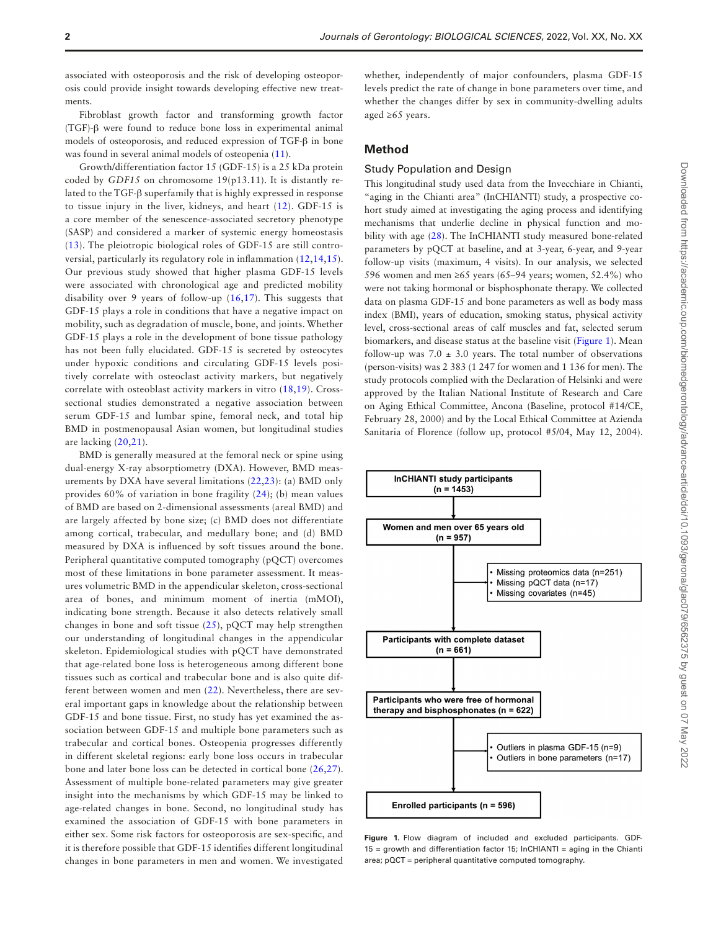associated with osteoporosis and the risk of developing osteoporosis could provide insight towards developing effective new treatments.

Fibroblast growth factor and transforming growth factor (TGF)-β were found to reduce bone loss in experimental animal models of osteoporosis, and reduced expression of TGF-β in bone was found in several animal models of osteopenia [\(11](#page-6-9)).

<span id="page-1-3"></span>Growth/differentiation factor 15 (GDF-15) is a 25 kDa protein coded by *GDF15* on chromosome 19(p13.11). It is distantly related to the TGF-β superfamily that is highly expressed in response to tissue injury in the liver, kidneys, and heart ([12](#page-6-10)). GDF-15 is a core member of the senescence-associated secretory phenotype (SASP) and considered a marker of systemic energy homeostasis [\(13\)](#page-6-11). The pleiotropic biological roles of GDF-15 are still controversial, particularly its regulatory role in infammation ([12](#page-6-10)[,14](#page-6-12),[15\)](#page-6-13). Our previous study showed that higher plasma GDF-15 levels were associated with chronological age and predicted mobility disability over 9 years of follow-up ([16,](#page-6-14)[17](#page-6-15)). This suggests that GDF-15 plays a role in conditions that have a negative impact on mobility, such as degradation of muscle, bone, and joints. Whether GDF-15 plays a role in the development of bone tissue pathology has not been fully elucidated. GDF-15 is secreted by osteocytes under hypoxic conditions and circulating GDF-15 levels positively correlate with osteoclast activity markers, but negatively correlate with osteoblast activity markers in vitro ([18](#page-6-16)[,19](#page-6-17)). Crosssectional studies demonstrated a negative association between serum GDF-15 and lumbar spine, femoral neck, and total hip BMD in postmenopausal Asian women, but longitudinal studies are lacking ([20](#page-6-18)[,21](#page-6-19)).

<span id="page-1-11"></span><span id="page-1-10"></span>BMD is generally measured at the femoral neck or spine using dual-energy X-ray absorptiometry (DXA). However, BMD measurements by DXA have several limitations ([22](#page-6-20)[,23\)](#page-6-21): (a) BMD only provides 60% of variation in bone fragility [\(24](#page-6-22)); (b) mean values of BMD are based on 2-dimensional assessments (areal BMD) and are largely affected by bone size; (c) BMD does not differentiate among cortical, trabecular, and medullary bone; and (d) BMD measured by DXA is infuenced by soft tissues around the bone. Peripheral quantitative computed tomography (pQCT) overcomes most of these limitations in bone parameter assessment. It measures volumetric BMD in the appendicular skeleton, cross-sectional area of bones, and minimum moment of inertia (mMOI), indicating bone strength. Because it also detects relatively small changes in bone and soft tissue  $(25)$  $(25)$ , pQCT may help strengthen our understanding of longitudinal changes in the appendicular skeleton. Epidemiological studies with pQCT have demonstrated that age-related bone loss is heterogeneous among different bone tissues such as cortical and trabecular bone and is also quite different between women and men ([22\)](#page-6-20). Nevertheless, there are several important gaps in knowledge about the relationship between GDF-15 and bone tissue. First, no study has yet examined the association between GDF-15 and multiple bone parameters such as trabecular and cortical bones. Osteopenia progresses differently in different skeletal regions: early bone loss occurs in trabecular bone and later bone loss can be detected in cortical bone [\(26](#page-6-24),[27\)](#page-6-25). Assessment of multiple bone-related parameters may give greater insight into the mechanisms by which GDF-15 may be linked to age-related changes in bone. Second, no longitudinal study has examined the association of GDF-15 with bone parameters in either sex. Some risk factors for osteoporosis are sex-specifc, and it is therefore possible that GDF-15 identifes different longitudinal changes in bone parameters in men and women. We investigated

whether, independently of major confounders, plasma GDF-15 levels predict the rate of change in bone parameters over time, and whether the changes differ by sex in community-dwelling adults aged ≥65 years.

## <span id="page-1-1"></span>**Method**

#### Study Population and Design

<span id="page-1-18"></span><span id="page-1-7"></span><span id="page-1-6"></span><span id="page-1-5"></span><span id="page-1-4"></span><span id="page-1-2"></span>This longitudinal study used data from the Invecchiare in Chianti, "aging in the Chianti area" (InCHIANTI) study, a prospective cohort study aimed at investigating the aging process and identifying mechanisms that underlie decline in physical function and mobility with age ([28\)](#page-6-26). The InCHIANTI study measured bone-related parameters by pQCT at baseline, and at 3-year, 6-year, and 9-year follow-up visits (maximum, 4 visits). In our analysis, we selected 596 women and men ≥65 years (65–94 years; women, 52.4%) who were not taking hormonal or bisphosphonate therapy. We collected data on plasma GDF-15 and bone parameters as well as body mass index (BMI), years of education, smoking status, physical activity level, cross-sectional areas of calf muscles and fat, selected serum biomarkers, and disease status at the baseline visit [\(Figure 1\)](#page-1-0). Mean follow-up was  $7.0 \pm 3.0$  vears. The total number of observations (person-visits) was 2 383 (1 247 for women and 1 136 for men). The study protocols complied with the Declaration of Helsinki and were approved by the Italian National Institute of Research and Care on Aging Ethical Committee, Ancona (Baseline, protocol #14/CE, February 28, 2000) and by the Local Ethical Committee at Azienda Sanitaria of Florence (follow up, protocol #5/04, May 12, 2004).

<span id="page-1-15"></span><span id="page-1-14"></span><span id="page-1-13"></span><span id="page-1-12"></span><span id="page-1-9"></span><span id="page-1-8"></span>

<span id="page-1-17"></span><span id="page-1-16"></span><span id="page-1-0"></span>**Figure 1.** Flow diagram of included and excluded participants. GDF-15 = growth and differentiation factor 15; InCHIANTI = aging in the Chianti area; pQCT = peripheral quantitative computed tomography.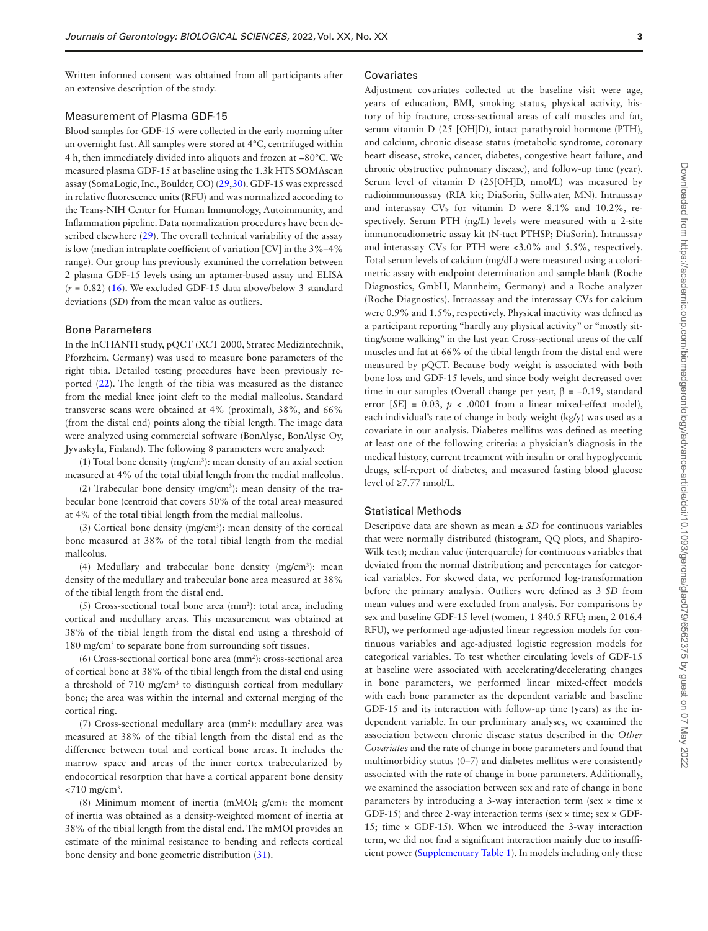Written informed consent was obtained from all participants after an extensive description of the study.

#### Measurement of Plasma GDF-15

Blood samples for GDF-15 were collected in the early morning after an overnight fast. All samples were stored at 4°C, centrifuged within 4 h, then immediately divided into aliquots and frozen at −80°C. We measured plasma GDF-15 at baseline using the 1.3k HTS SOMAscan assay (SomaLogic, Inc., Boulder, CO) [\(29](#page-6-27)[,30](#page-7-0)). GDF-15 was expressed in relative fuorescence units (RFU) and was normalized according to the Trans-NIH Center for Human Immunology, Autoimmunity, and Infammation pipeline. Data normalization procedures have been de-scribed elsewhere ([29\)](#page-6-27). The overall technical variability of the assay is low (median intraplate coefficient of variation [CV] in the 3%-4% range). Our group has previously examined the correlation between 2 plasma GDF-15 levels using an aptamer-based assay and ELISA  $(r = 0.82)$  ([16\)](#page-6-14). We excluded GDF-15 data above/below 3 standard deviations (*SD*) from the mean value as outliers.

#### Bone Parameters

In the InCHANTI study, pQCT (XCT 2000, Stratec Medizintechnik, Pforzheim, Germany) was used to measure bone parameters of the right tibia. Detailed testing procedures have been previously reported [\(22](#page-6-20)). The length of the tibia was measured as the distance from the medial knee joint cleft to the medial malleolus. Standard transverse scans were obtained at 4% (proximal), 38%, and 66% (from the distal end) points along the tibial length. The image data were analyzed using commercial software (BonAlyse, BonAlyse Oy, Jyvaskyla, Finland). The following 8 parameters were analyzed:

 $(1)$  Total bone density (mg/cm<sup>3</sup>): mean density of an axial section measured at 4% of the total tibial length from the medial malleolus.

 $(2)$  Trabecular bone density (mg/cm<sup>3</sup>): mean density of the trabecular bone (centroid that covers 50% of the total area) measured at 4% of the total tibial length from the medial malleolus.

 $(3)$  Cortical bone density (mg/cm<sup>3</sup>): mean density of the cortical bone measured at 38% of the total tibial length from the medial malleolus.

 $(4)$  Medullary and trabecular bone density  $(mg/cm<sup>3</sup>)$ : mean density of the medullary and trabecular bone area measured at 38% of the tibial length from the distal end.

(5) Cross-sectional total bone area (mm2 ): total area, including cortical and medullary areas. This measurement was obtained at 38% of the tibial length from the distal end using a threshold of 180 mg/cm<sup>3</sup> to separate bone from surrounding soft tissues.

 $(6)$  Cross-sectional cortical bone area  $(mm<sup>2</sup>)$ : cross-sectional area of cortical bone at 38% of the tibial length from the distal end using a threshold of 710 mg/cm<sup>3</sup> to distinguish cortical from medullary bone; the area was within the internal and external merging of the cortical ring.

 $(7)$  Cross-sectional medullary area  $(mm<sup>2</sup>)$ : medullary area was measured at 38% of the tibial length from the distal end as the difference between total and cortical bone areas. It includes the marrow space and areas of the inner cortex trabecularized by endocortical resorption that have a cortical apparent bone density  $<$ 710 mg/cm<sup>3</sup>.

(8) Minimum moment of inertia (mMOI; g/cm): the moment of inertia was obtained as a density-weighted moment of inertia at 38% of the tibial length from the distal end. The mMOI provides an estimate of the minimal resistance to bending and refects cortical bone density and bone geometric distribution [\(31\)](#page-7-1).

#### **Covariates**

<span id="page-2-1"></span><span id="page-2-0"></span>Adjustment covariates collected at the baseline visit were age, years of education, BMI, smoking status, physical activity, history of hip fracture, cross-sectional areas of calf muscles and fat, serum vitamin D (25 [OH]D), intact parathyroid hormone (PTH), and calcium, chronic disease status (metabolic syndrome, coronary heart disease, stroke, cancer, diabetes, congestive heart failure, and chronic obstructive pulmonary disease), and follow-up time (year). Serum level of vitamin D (25[OH]D, nmol/L) was measured by radioimmunoassay (RIA kit; DiaSorin, Stillwater, MN). Intraassay and interassay CVs for vitamin D were 8.1% and 10.2%, respectively. Serum PTH (ng/L) levels were measured with a 2-site immunoradiometric assay kit (N-tact PTHSP; DiaSorin). Intraassay and interassay CVs for PTH were <3.0% and 5.5%, respectively. Total serum levels of calcium (mg/dL) were measured using a colorimetric assay with endpoint determination and sample blank (Roche Diagnostics, GmbH, Mannheim, Germany) and a Roche analyzer (Roche Diagnostics). Intraassay and the interassay CVs for calcium were 0.9% and 1.5%, respectively. Physical inactivity was defned as a participant reporting "hardly any physical activity" or "mostly sitting/some walking" in the last year. Cross-sectional areas of the calf muscles and fat at 66% of the tibial length from the distal end were measured by pQCT. Because body weight is associated with both bone loss and GDF-15 levels, and since body weight decreased over time in our samples (Overall change per year,  $\beta$  = −0.19, standard error  $[SE] = 0.03$ ,  $p < .0001$  from a linear mixed-effect model), each individual's rate of change in body weight (kg/y) was used as a covariate in our analysis. Diabetes mellitus was defned as meeting at least one of the following criteria: a physician's diagnosis in the medical history, current treatment with insulin or oral hypoglycemic drugs, self-report of diabetes, and measured fasting blood glucose level of ≥7.77 nmol/L.

#### Statistical Methods

<span id="page-2-2"></span>Descriptive data are shown as mean ± *SD* for continuous variables that were normally distributed (histogram, QQ plots, and Shapiro-Wilk test); median value (interquartile) for continuous variables that deviated from the normal distribution; and percentages for categorical variables. For skewed data, we performed log-transformation before the primary analysis. Outliers were defned as 3 *SD* from mean values and were excluded from analysis. For comparisons by sex and baseline GDF-15 level (women, 1 840.5 RFU; men, 2 016.4 RFU), we performed age-adjusted linear regression models for continuous variables and age-adjusted logistic regression models for categorical variables. To test whether circulating levels of GDF-15 at baseline were associated with accelerating/decelerating changes in bone parameters, we performed linear mixed-effect models with each bone parameter as the dependent variable and baseline GDF-15 and its interaction with follow-up time (years) as the independent variable. In our preliminary analyses, we examined the association between chronic disease status described in the *Other Covariates* and the rate of change in bone parameters and found that multimorbidity status (0–7) and diabetes mellitus were consistently associated with the rate of change in bone parameters. Additionally, we examined the association between sex and rate of change in bone parameters by introducing a 3-way interaction term (sex × time × GDF-15) and three 2-way interaction terms (sex  $\times$  time; sex  $\times$  GDF-15; time  $\times$  GDF-15). When we introduced the 3-way interaction term, we did not fnd a signifcant interaction mainly due to insuffcient power ([Supplementary Table 1](http://academic.oup.com/biomedgerontology/article-lookup/doi/10.1093/gerona/glac079#supplementary-data)). In models including only these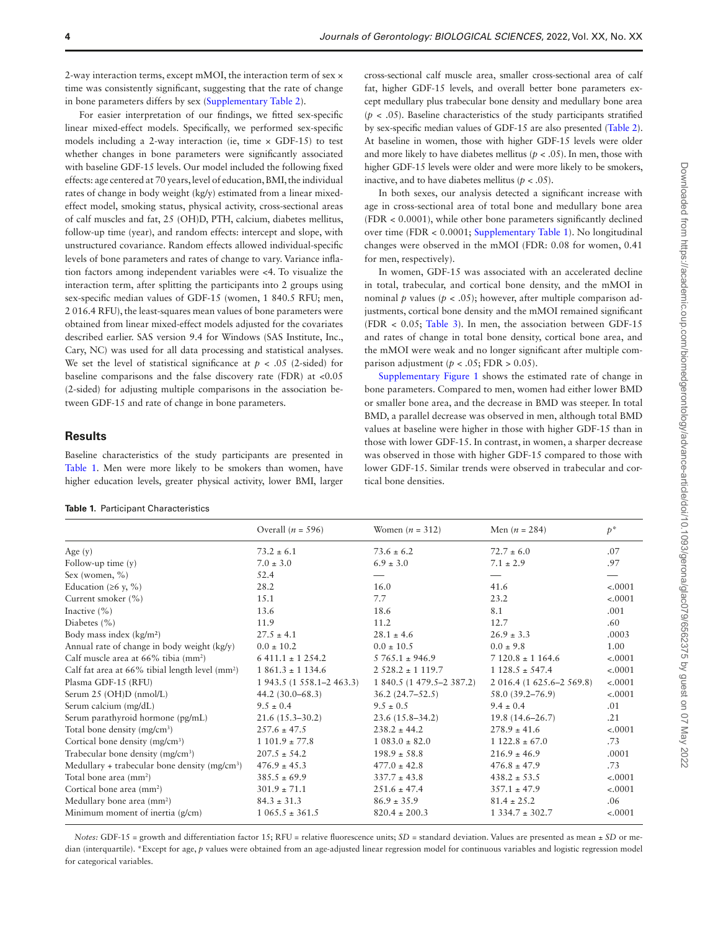2-way interaction terms, except mMOI, the interaction term of sex × time was consistently signifcant, suggesting that the rate of change in bone parameters differs by sex ([Supplementary Table 2\)](http://academic.oup.com/biomedgerontology/article-lookup/doi/10.1093/gerona/glac079#supplementary-data).

For easier interpretation of our fndings, we ftted sex-specifc linear mixed-effect models. Specifcally, we performed sex-specifc models including a 2-way interaction (ie, time  $\times$  GDF-15) to test whether changes in bone parameters were signifcantly associated with baseline GDF-15 levels. Our model included the following fxed effects: age centered at 70 years, level of education, BMI, the individual rates of change in body weight (kg/y) estimated from a linear mixedeffect model, smoking status, physical activity, cross-sectional areas of calf muscles and fat, 25 (OH)D, PTH, calcium, diabetes mellitus, follow-up time (year), and random effects: intercept and slope, with unstructured covariance. Random effects allowed individual-specifc levels of bone parameters and rates of change to vary. Variance infation factors among independent variables were <4. To visualize the interaction term, after splitting the participants into 2 groups using sex-specifc median values of GDF-15 (women, 1 840.5 RFU; men, 2 016.4 RFU), the least-squares mean values of bone parameters were obtained from linear mixed-effect models adjusted for the covariates described earlier. SAS version 9.4 for Windows (SAS Institute, Inc., Cary, NC) was used for all data processing and statistical analyses. We set the level of statistical significance at  $p < .05$  (2-sided) for baseline comparisons and the false discovery rate (FDR) at <0.05 (2-sided) for adjusting multiple comparisons in the association between GDF-15 and rate of change in bone parameters.

#### **Results**

Baseline characteristics of the study participants are presented in Table 1. Men were more likely to be smokers than women, have higher education levels, greater physical activity, lower BMI, larger

<span id="page-3-0"></span>

|  |  | Table 1. Participant Characteristics |
|--|--|--------------------------------------|
|--|--|--------------------------------------|

cross-sectional calf muscle area, smaller cross-sectional area of calf fat, higher GDF-15 levels, and overall better bone parameters except medullary plus trabecular bone density and medullary bone area  $(p < .05)$ . Baseline characteristics of the study participants stratified by sex-specifc median values of GDF-15 are also presented [\(Table 2](#page-4-0)). At baseline in women, those with higher GDF-15 levels were older and more likely to have diabetes mellitus ( $p < .05$ ). In men, those with higher GDF-15 levels were older and were more likely to be smokers, inactive, and to have diabetes mellitus ( $p < .05$ ).

In both sexes, our analysis detected a signifcant increase with age in cross-sectional area of total bone and medullary bone area (FDR < 0.0001), while other bone parameters signifcantly declined over time (FDR < 0.0001; [Supplementary Table 1](http://academic.oup.com/biomedgerontology/article-lookup/doi/10.1093/gerona/glac079#supplementary-data)). No longitudinal changes were observed in the mMOI (FDR: 0.08 for women, 0.41 for men, respectively).

In women, GDF-15 was associated with an accelerated decline in total, trabecular, and cortical bone density, and the mMOI in nominal *p* values ( $p < .05$ ); however, after multiple comparison adjustments, cortical bone density and the mMOI remained signifcant (FDR < 0.05; [Table 3](#page-4-1)). In men, the association between GDF-15 and rates of change in total bone density, cortical bone area, and the mMOI were weak and no longer signifcant after multiple comparison adjustment ( $p < .05$ ; FDR  $> 0.05$ ).

[Supplementary Figure 1](http://academic.oup.com/biomedgerontology/article-lookup/doi/10.1093/gerona/glac079#supplementary-data) shows the estimated rate of change in bone parameters. Compared to men, women had either lower BMD or smaller bone area, and the decrease in BMD was steeper. In total BMD, a parallel decrease was observed in men, although total BMD values at baseline were higher in those with higher GDF-15 than in those with lower GDF-15. In contrast, in women, a sharper decrease was observed in those with higher GDF-15 compared to those with lower GDF-15. Similar trends were observed in trabecular and cortical bone densities.

| Overall ( $n = 596$ )     | Women $(n = 312)$         | Men $(n = 284)$           | $p^*$    |
|---------------------------|---------------------------|---------------------------|----------|
| $73.2 \pm 6.1$            | $73.6 \pm 6.2$            | $72.7 \pm 6.0$            | .07      |
| $7.0 \pm 3.0$             | $6.9 \pm 3.0$             | $7.1 \pm 2.9$             | .97      |
| 52.4                      |                           |                           |          |
| 28.2                      | 16.0                      | 41.6                      | $-.0001$ |
| 15.1                      | 7.7                       | 23.2                      | $-.0001$ |
| 13.6                      | 18.6                      | 8.1                       | .001     |
| 11.9                      | 11.2                      | 12.7                      | .60      |
| $27.5 \pm 4.1$            | $28.1 \pm 4.6$            | $26.9 \pm 3.3$            | .0003    |
| $0.0 \pm 10.2$            | $0.0 \pm 10.5$            | $0.0 \pm 9.8$             | 1.00     |
| $6411.1 \pm 1254.2$       | $5765.1 \pm 946.9$        | $7120.8 \pm 1164.6$       | $-.0001$ |
| $1861.3 \pm 1134.6$       | $2528.2 \pm 1119.7$       | $1128.5 \pm 547.4$        | $-.0001$ |
| 1 943.5 (1 558.1–2 463.3) | 1 840.5 (1 479.5–2 387.2) | 2 016.4 (1 625.6–2 569.8) | $-.0001$ |
| $44.2(30.0 - 68.3)$       | $36.2(24.7-52.5)$         | 58.0 (39.2–76.9)          | $-.0001$ |
| $9.5 \pm 0.4$             | $9.5 \pm 0.5$             | $9.4 \pm 0.4$             | .01      |
| $21.6(15.3 - 30.2)$       | $23.6(15.8 - 34.2)$       | $19.8(14.6 - 26.7)$       | .21      |
| $257.6 \pm 47.5$          | $238.2 \pm 44.2$          | $278.9 \pm 41.6$          | $-.0001$ |
| $1101.9 \pm 77.8$         | $1083.0 \pm 82.0$         | $1122.8 \pm 67.0$         | .73      |
| $207.5 \pm 54.2$          | $198.9 \pm 58.8$          | $216.9 \pm 46.9$          | .0001    |
| $476.9 \pm 45.3$          | $477.0 \pm 42.8$          | $476.8 \pm 47.9$          | .73      |
| $385.5 \pm 69.9$          | $337.7 \pm 43.8$          | $438.2 \pm 53.5$          | $-.0001$ |
| $301.9 \pm 71.1$          | $251.6 \pm 47.4$          | $357.1 \pm 47.9$          | $-.0001$ |
| $84.3 \pm 31.3$           | $86.9 \pm 35.9$           | $81.4 \pm 25.2$           | .06      |
| $1065.5 \pm 361.5$        | $820.4 \pm 200.3$         | $1334.7 \pm 302.7$        | $-.0001$ |
|                           |                           |                           |          |

*Notes:* GDF-15 = growth and differentiation factor 15; RFU = relative fluorescence units; *SD* = standard deviation. Values are presented as mean ± *SD* or median (interquartile). \*Except for age, *p* values were obtained from an age-adjusted linear regression model for continuous variables and logistic regression model for categorical variables.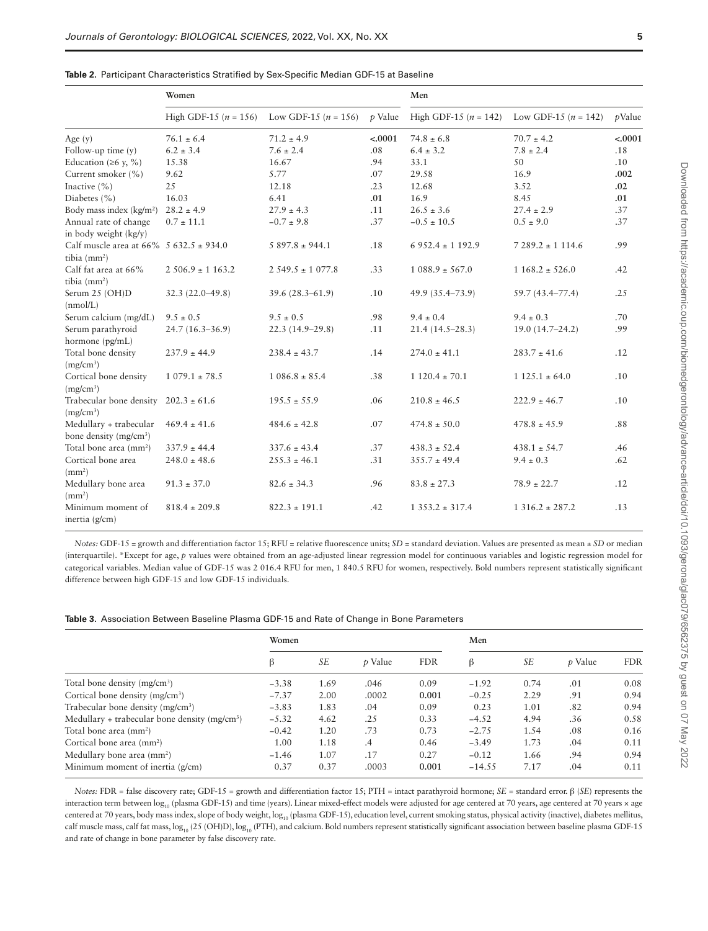| × |  |  |
|---|--|--|
|   |  |  |
|   |  |  |

<span id="page-4-0"></span>

|  |  | Table 2. Participant Characteristics Stratified by Sex-Specific Median GDF-15 at Baseline |  |  |  |  |  |
|--|--|-------------------------------------------------------------------------------------------|--|--|--|--|--|
|--|--|-------------------------------------------------------------------------------------------|--|--|--|--|--|

|                                                                   | Women                     |                        |         | Men                       |                          |           |
|-------------------------------------------------------------------|---------------------------|------------------------|---------|---------------------------|--------------------------|-----------|
|                                                                   | High GDF-15 ( $n = 156$ ) | Low GDF-15 $(n = 156)$ | p Value | High GDF-15 ( $n = 142$ ) | Low GDF-15 ( $n = 142$ ) | $p$ Value |
| Age $(y)$                                                         | $76.1 \pm 6.4$            | $71.2 \pm 4.9$         | < .0001 | $74.8 \pm 6.8$            | $70.7 \pm 4.2$           | < .0001   |
| Follow-up time $(y)$                                              | $6.2 \pm 3.4$             | $7.6 \pm 2.4$          | .08     | $6.4 \pm 3.2$             | $7.8 \pm 2.4$            | .18       |
| Education ( $\geq 6$ y, %)                                        | 15.38                     | 16.67                  | .94     | 33.1                      | 50                       | .10       |
| Current smoker (%)                                                | 9.62                      | 5.77                   | .07     | 29.58                     | 16.9                     | .002      |
| Inactive $(\% )$                                                  | 25                        | 12.18                  | .23     | 12.68                     | 3.52                     | .02       |
| Diabetes (%)                                                      | 16.03                     | 6.41                   | .01     | 16.9                      | 8.45                     | .01       |
| Body mass index (kg/m <sup>2</sup> )                              | $28.2 \pm 4.9$            | $27.9 \pm 4.3$         | .11     | $26.5 \pm 3.6$            | $27.4 \pm 2.9$           | .37       |
| Annual rate of change<br>in body weight (kg/y)                    | $0.7 \pm 11.1$            | $-0.7 \pm 9.8$         | .37     | $-0.5 \pm 10.5$           | $0.5 \pm 9.0$            | .37       |
| Calf muscle area at $66\%$ 5 $632.5 \pm 934.0$<br>tibia $(mm2)$   |                           | $5897.8 \pm 944.1$     | .18     | $6952.4 \pm 1192.9$       | $7289.2 \pm 1114.6$      | .99       |
| Calf fat area at 66%<br>tibia $(mm2)$                             | $2506.9 \pm 1163.2$       | $2.549.5 \pm 1.077.8$  | .33     | $1088.9 \pm 567.0$        | $1168.2 \pm 526.0$       | .42       |
| Serum 25 (OH)D<br>(nmol/L)                                        | $32.3(22.0 - 49.8)$       | $39.6(28.3 - 61.9)$    | .10     | 49.9 (35.4–73.9)          | 59.7 (43.4–77.4)         | .25       |
| Serum calcium (mg/dL)                                             | $9.5 \pm 0.5$             | $9.5 \pm 0.5$          | .98     | $9.4 \pm 0.4$             | $9.4 \pm 0.3$            | .70       |
| Serum parathyroid<br>hormone (pg/mL)                              | 24.7 (16.3-36.9)          | $22.3(14.9-29.8)$      | .11     | $21.4(14.5 - 28.3)$       | 19.0 (14.7-24.2)         | .99       |
| Total bone density<br>(mg/cm <sup>3</sup> )                       | $237.9 \pm 44.9$          | $238.4 \pm 43.7$       | .14     | $274.0 \pm 41.1$          | $283.7 \pm 41.6$         | .12       |
| Cortical bone density<br>(mg/cm <sup>3</sup> )                    | $1079.1 \pm 78.5$         | $1086.8 \pm 85.4$      | .38     | $1120.4 \pm 70.1$         | $1125.1 \pm 64.0$        | .10       |
| Trabecular bone density $202.3 \pm 61.6$<br>(mg/cm <sup>3</sup> ) |                           | $195.5 \pm 55.9$       | .06     | $210.8 \pm 46.5$          | $222.9 \pm 46.7$         | .10       |
| Medullary + trabecular<br>bone density (mg/cm <sup>3</sup> )      | $469.4 \pm 41.6$          | $484.6 \pm 42.8$       | .07     | $474.8 \pm 50.0$          | $478.8 \pm 45.9$         | .88       |
| Total bone area (mm <sup>2</sup> )                                | $337.9 \pm 44.4$          | $337.6 \pm 43.4$       | .37     | $438.3 \pm 52.4$          | $438.1 \pm 54.7$         | .46       |
| Cortical bone area<br>(mm <sup>2</sup> )                          | $248.0 \pm 48.6$          | $255.3 \pm 46.1$       | .31     | $355.7 \pm 49.4$          | $9.4 \pm 0.3$            | .62       |
| Medullary bone area<br>(mm <sup>2</sup> )                         | $91.3 \pm 37.0$           | $82.6 \pm 34.3$        | .96     | $83.8 \pm 27.3$           | $78.9 \pm 22.7$          | .12       |
| Minimum moment of<br>inertia (g/cm)                               | $818.4 \pm 209.8$         | $822.3 \pm 191.1$      | .42     | $1353.2 \pm 317.4$        | $1316.2 \pm 287.2$       | .13       |

*Notes:* GDF-15 = growth and differentiation factor 15; RFU = relative fluorescence units; *SD* = standard deviation. Values are presented as mean ± *SD* or median (interquartile). \*Except for age, *p* values were obtained from an age-adjusted linear regression model for continuous variables and logistic regression model for categorical variables. Median value of GDF-15 was 2 016.4 RFU for men, 1 840.5 RFU for women, respectively. Bold numbers represent statistically signifcant difference between high GDF-15 and low GDF-15 individuals.

<span id="page-4-1"></span>

|  |  |  |  |  |  |  |  |  |  |  | Table 3. Association Between Baseline Plasma GDF-15 and Rate of Change in Bone Parameters |  |
|--|--|--|--|--|--|--|--|--|--|--|-------------------------------------------------------------------------------------------|--|
|--|--|--|--|--|--|--|--|--|--|--|-------------------------------------------------------------------------------------------|--|

|                                                | Women   |      |                |            | Men      |      |                |            |
|------------------------------------------------|---------|------|----------------|------------|----------|------|----------------|------------|
|                                                | ß       | SE   | <i>t</i> Value | <b>FDR</b> | ß        | SE   | <i>p</i> Value | <b>FDR</b> |
| Total bone density (mg/cm <sup>3</sup> )       | $-3.38$ | 1.69 | .046           | 0.09       | $-1.92$  | 0.74 | .01            | 0.08       |
| Cortical bone density (mg/cm <sup>3</sup> )    | $-7.37$ | 2.00 | .0002          | 0.001      | $-0.25$  | 2.29 | .91            | 0.94       |
| Trabecular bone density (mg/cm <sup>3</sup> )  | $-3.83$ | 1.83 | .04            | 0.09       | 0.23     | 1.01 | .82            | 0.94       |
| Medullary + trabecular bone density $(mg/cm3)$ | $-5.32$ | 4.62 | .25            | 0.33       | $-4.52$  | 4.94 | .36            | 0.58       |
| Total bone area (mm <sup>2</sup> )             | $-0.42$ | 1.20 | .73            | 0.73       | $-2.75$  | 1.54 | .08            | 0.16       |
| Cortical bone area (mm <sup>2</sup> )          | 1.00    | 1.18 | .4             | 0.46       | $-3.49$  | 1.73 | .04            | 0.11       |
| Medullary bone area (mm <sup>2</sup> )         | $-1.46$ | 1.07 | .17            | 0.27       | $-0.12$  | 1.66 | .94            | 0.94       |
| Minimum moment of inertia (g/cm)               | 0.37    | 0.37 | .0003          | 0.001      | $-14.55$ | 7.17 | .04            | 0.11       |

*Notes:* FDR = false discovery rate; GDF-15 = growth and differentiation factor 15; PTH = intact parathyroid hormone; *SE* = standard error. β (*SE*) represents the interaction term between  $\log_{10}$  (plasma GDF-15) and time (years). Linear mixed-effect models were adjusted for age centered at 70 years, age centered at 70 years × age centered at 70 years, body mass index, slope of body weight, log<sub>10</sub> (plasma GDF-15), education level, current smoking status, physical activity (inactive), diabetes mellitus, calf muscle mass, calf fat mass,  $\log_{10}$  (25 (OH)D),  $\log_{10}$  (PTH), and calcium. Bold numbers represent statistically significant association between baseline plasma GDF-15 and rate of change in bone parameter by false discovery rate.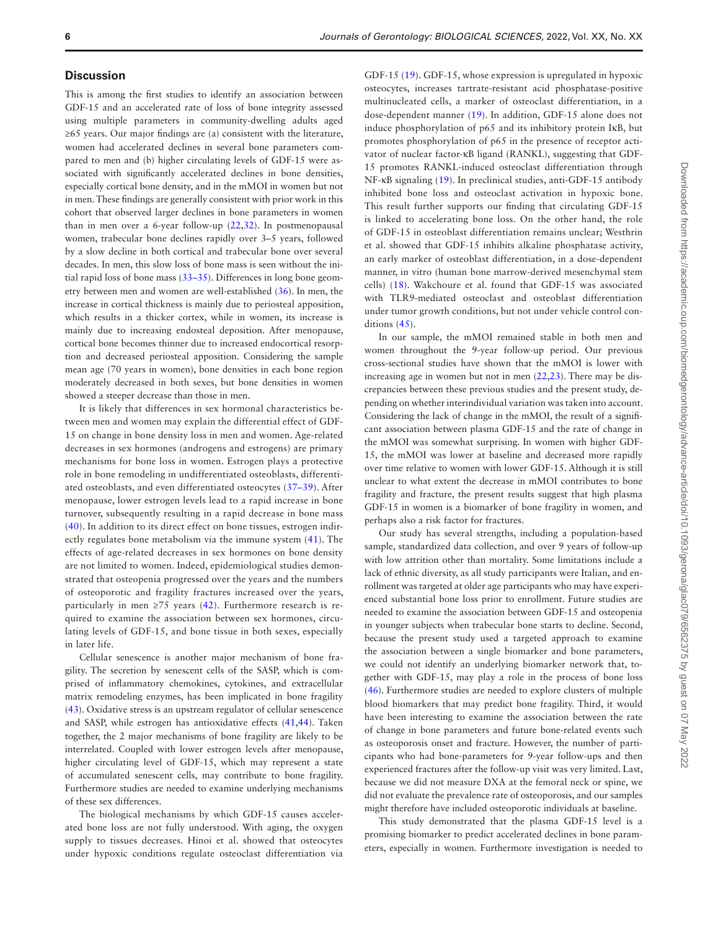#### **Discussion**

This is among the frst studies to identify an association between GDF-15 and an accelerated rate of loss of bone integrity assessed using multiple parameters in community-dwelling adults aged ≥65 years. Our major fndings are (a) consistent with the literature, women had accelerated declines in several bone parameters compared to men and (b) higher circulating levels of GDF-15 were associated with signifcantly accelerated declines in bone densities, especially cortical bone density, and in the mMOI in women but not in men. These fndings are generally consistent with prior work in this cohort that observed larger declines in bone parameters in women than in men over a 6-year follow-up ([22,](#page-6-20)[32\)](#page-7-2). In postmenopausal women, trabecular bone declines rapidly over 3–5 years, followed by a slow decline in both cortical and trabecular bone over several decades. In men, this slow loss of bone mass is seen without the initial rapid loss of bone mass [\(33–](#page-7-3)[35\)](#page-7-4). Differences in long bone geometry between men and women are well-established ([36\)](#page-7-5). In men, the increase in cortical thickness is mainly due to periosteal apposition, which results in a thicker cortex, while in women, its increase is mainly due to increasing endosteal deposition. After menopause, cortical bone becomes thinner due to increased endocortical resorption and decreased periosteal apposition. Considering the sample mean age (70 years in women), bone densities in each bone region moderately decreased in both sexes, but bone densities in women showed a steeper decrease than those in men.

<span id="page-5-4"></span>It is likely that differences in sex hormonal characteristics between men and women may explain the differential effect of GDF-15 on change in bone density loss in men and women. Age-related decreases in sex hormones (androgens and estrogens) are primary mechanisms for bone loss in women. Estrogen plays a protective role in bone remodeling in undifferentiated osteoblasts, differentiated osteoblasts, and even differentiated osteocytes [\(37](#page-7-6)[–39\)](#page-7-7). After menopause, lower estrogen levels lead to a rapid increase in bone turnover, subsequently resulting in a rapid decrease in bone mass [\(40\)](#page-7-8). In addition to its direct effect on bone tissues, estrogen indirectly regulates bone metabolism via the immune system ([41\)](#page-7-9). The effects of age-related decreases in sex hormones on bone density are not limited to women. Indeed, epidemiological studies demonstrated that osteopenia progressed over the years and the numbers of osteoporotic and fragility fractures increased over the years, particularly in men  $\geq$ 75 years ([42\)](#page-7-10). Furthermore research is required to examine the association between sex hormones, circulating levels of GDF-15, and bone tissue in both sexes, especially in later life.

<span id="page-5-7"></span>Cellular senescence is another major mechanism of bone fragility. The secretion by senescent cells of the SASP, which is comprised of infammatory chemokines, cytokines, and extracellular matrix remodeling enzymes, has been implicated in bone fragility [\(43](#page-7-11)). Oxidative stress is an upstream regulator of cellular senescence and SASP, while estrogen has antioxidative effects ([41,](#page-7-9)[44\)](#page-7-12). Taken together, the 2 major mechanisms of bone fragility are likely to be interrelated. Coupled with lower estrogen levels after menopause, higher circulating level of GDF-15, which may represent a state of accumulated senescent cells, may contribute to bone fragility. Furthermore studies are needed to examine underlying mechanisms of these sex differences.

The biological mechanisms by which GDF-15 causes accelerated bone loss are not fully understood. With aging, the oxygen supply to tissues decreases. Hinoi et al. showed that osteocytes under hypoxic conditions regulate osteoclast differentiation via

GDF-15 [\(19](#page-6-17)). GDF-15, whose expression is upregulated in hypoxic osteocytes, increases tartrate-resistant acid phosphatase-positive multinucleated cells, a marker of osteoclast differentiation, in a dose-dependent manner [\(19](#page-6-17)). In addition, GDF-15 alone does not induce phosphorylation of p65 and its inhibitory protein IκB, but promotes phosphorylation of p65 in the presence of receptor activator of nuclear factor-κB ligand (RANKL), suggesting that GDF-15 promotes RANKL-induced osteoclast differentiation through NF-κB signaling ([19\)](#page-6-17). In preclinical studies, anti-GDF-15 antibody inhibited bone loss and osteoclast activation in hypoxic bone. This result further supports our fnding that circulating GDF-15 is linked to accelerating bone loss. On the other hand, the role of GDF-15 in osteoblast differentiation remains unclear; Westhrin et al. showed that GDF-15 inhibits alkaline phosphatase activity, an early marker of osteoblast differentiation, in a dose-dependent manner, in vitro (human bone marrow-derived mesenchymal stem cells) ([18\)](#page-6-16). Wakchoure et al. found that GDF-15 was associated with TLR9-mediated osteoclast and osteoblast differentiation under tumor growth conditions, but not under vehicle control conditions ([45\)](#page-7-13).

<span id="page-5-9"></span><span id="page-5-2"></span><span id="page-5-1"></span><span id="page-5-0"></span>In our sample, the mMOI remained stable in both men and women throughout the 9-year follow-up period. Our previous cross-sectional studies have shown that the mMOI is lower with increasing age in women but not in men [\(22](#page-6-20),[23](#page-6-21)). There may be discrepancies between these previous studies and the present study, depending on whether interindividual variation was taken into account. Considering the lack of change in the mMOI, the result of a signifcant association between plasma GDF-15 and the rate of change in the mMOI was somewhat surprising. In women with higher GDF-15, the mMOI was lower at baseline and decreased more rapidly over time relative to women with lower GDF-15. Although it is still unclear to what extent the decrease in mMOI contributes to bone fragility and fracture, the present results suggest that high plasma GDF-15 in women is a biomarker of bone fragility in women, and perhaps also a risk factor for fractures.

<span id="page-5-6"></span><span id="page-5-5"></span><span id="page-5-3"></span>Our study has several strengths, including a population-based sample, standardized data collection, and over 9 years of follow-up with low attrition other than mortality. Some limitations include a lack of ethnic diversity, as all study participants were Italian, and enrollment was targeted at older age participants who may have experienced substantial bone loss prior to enrollment. Future studies are needed to examine the association between GDF-15 and osteopenia in younger subjects when trabecular bone starts to decline. Second, because the present study used a targeted approach to examine the association between a single biomarker and bone parameters, we could not identify an underlying biomarker network that, together with GDF-15, may play a role in the process of bone loss [\(46](#page-7-14)). Furthermore studies are needed to explore clusters of multiple blood biomarkers that may predict bone fragility. Third, it would have been interesting to examine the association between the rate of change in bone parameters and future bone-related events such as osteoporosis onset and fracture. However, the number of participants who had bone-parameters for 9-year follow-ups and then experienced fractures after the follow-up visit was very limited. Last, because we did not measure DXA at the femoral neck or spine, we did not evaluate the prevalence rate of osteoporosis, and our samples might therefore have included osteoporotic individuals at baseline.

<span id="page-5-10"></span><span id="page-5-8"></span>This study demonstrated that the plasma GDF-15 level is a promising biomarker to predict accelerated declines in bone parameters, especially in women. Furthermore investigation is needed to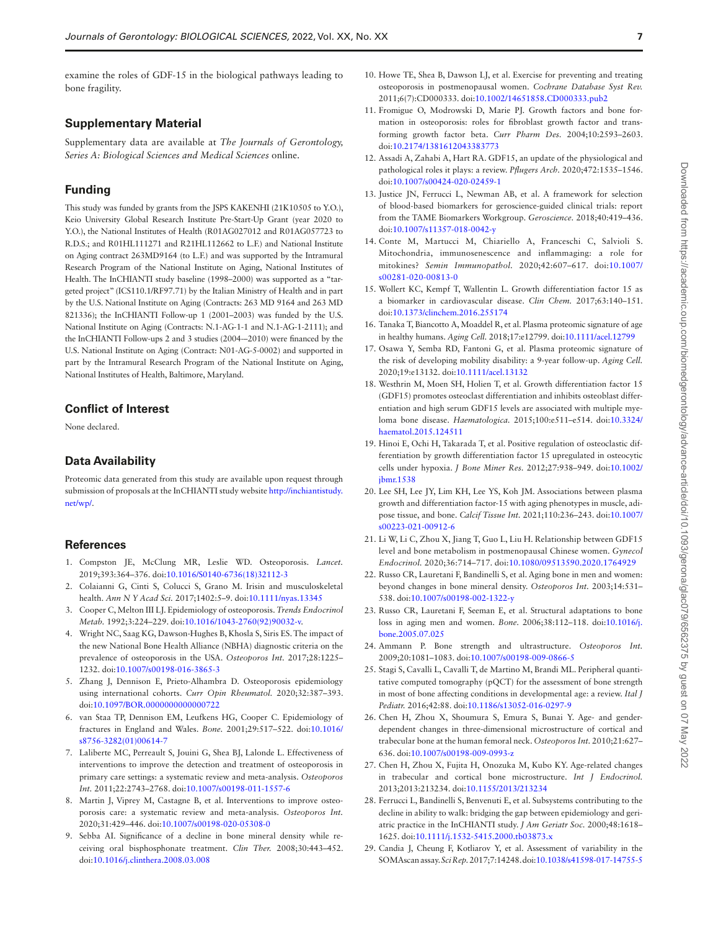examine the roles of GDF-15 in the biological pathways leading to bone fragility.

#### **Supplementary Material**

Supplementary data are available at *The Journals of Gerontology, Series A: Biological Sciences and Medical Sciences* online.

#### **Funding**

This study was funded by grants from the JSPS KAKENHI (21K10505 to Y.O.), Keio University Global Research Institute Pre-Start-Up Grant (year 2020 to Y.O.), the National Institutes of Health (R01AG027012 and R01AG057723 to R.D.S.; and R01HL111271 and R21HL112662 to L.F.) and National Institute on Aging contract 263MD9164 (to L.F.) and was supported by the Intramural Research Program of the National Institute on Aging, National Institutes of Health. The InCHIANTI study baseline (1998–2000) was supported as a "targeted project" (ICS110.1/RF97.71) by the Italian Ministry of Health and in part by the U.S. National Institute on Aging (Contracts: 263 MD 9164 and 263 MD 821336); the InCHIANTI Follow-up 1 (2001–2003) was funded by the U.S. National Institute on Aging (Contracts: N.1-AG-1-1 and N.1-AG-1-2111); and the InCHIANTI Follow-ups 2 and 3 studies (2004-–2010) were fnanced by the U.S. National Institute on Aging (Contract: N01-AG-5-0002) and supported in part by the Intramural Research Program of the National Institute on Aging, National Institutes of Health, Baltimore, Maryland.

#### **Confict of Interest**

None declared.

#### **Data Availability**

Proteomic data generated from this study are available upon request through submission of proposals at the InCHIANTI study website [http://inchiantistudy.](http://inchiantistudy.net/wp/﻿) [net/wp/](http://inchiantistudy.net/wp/﻿).

#### **References**

- <span id="page-6-0"></span>1. [Compston JE, McClung MR, Leslie WD.](#page-0-5) Osteoporosis. *Lancet.* 2019;393:364–376. doi:[10.1016/S0140-6736\(18\)32112-3](https://doi.org/10.1016/S0140-6736(18)32112-3)
- <span id="page-6-1"></span>2. [Colaianni G, Cinti S, Colucci S, Grano M.](#page-0-6) Irisin and musculoskeletal health. *Ann N Y Acad Sci.* 2017;1402:5–9. doi[:10.1111/nyas.13345](https://doi.org/10.1111/nyas.13345)
- <span id="page-6-2"></span>3. [Cooper C, Melton III LJ.](#page-0-7) Epidemiology of osteoporosis. *Trends Endocrinol Metab.* 1992;3:224–229. doi[:10.1016/1043-2760\(92\)90032-v](https://doi.org/10.1016/1043-2760(92)90032-v).
- <span id="page-6-3"></span>4. [Wright NC, Saag KG, Dawson-Hughes B, Khosla S, Siris ES.](#page-0-8) The impact of the new National Bone Health Alliance (NBHA) diagnostic criteria on the prevalence of osteoporosis in the USA. *Osteoporos Int.* 2017;28:1225– 1232. doi:[10.1007/s00198-016-3865-3](https://doi.org/10.1007/s00198-016-3865-3)
- 5. Zhang J, Dennison E, Prieto-Alhambra D. Osteoporosis epidemiology using international cohorts. *Curr Opin Rheumatol.* 2020;32:387–393. doi[:10.1097/BOR.0000000000000722](https://doi.org/10.1097/BOR.0000000000000722)
- <span id="page-6-4"></span>6. [van Staa TP, Dennison EM, Leufkens HG, Cooper C.](#page-0-8) Epidemiology of fractures in England and Wales. *Bone.* 2001;29:517–522. doi[:10.1016/](https://doi.org/10.1016/s8756-3282(01)00614-7) [s8756-3282\(01\)00614-7](https://doi.org/10.1016/s8756-3282(01)00614-7)
- <span id="page-6-5"></span>7. [Laliberte MC, Perreault S, Jouini G, Shea BJ, Lalonde L.](#page-0-9) Effectiveness of interventions to improve the detection and treatment of osteoporosis in primary care settings: a systematic review and meta-analysis. *Osteoporos Int.* 2011;22:2743–2768. doi:[10.1007/s00198-011-1557-6](https://doi.org/10.1007/s00198-011-1557-6)
- <span id="page-6-6"></span>8. Martin J, Viprey M, Castagne B, et al. Interventions to improve osteoporosis care: a systematic review and meta-analysis. *Osteoporos Int.* 2020;31:429–446. doi[:10.1007/s00198-020-05308-0](https://doi.org/10.1007/s00198-020-05308-0)
- <span id="page-6-7"></span>9. [Sebba AI.](#page-0-11) Signifcance of a decline in bone mineral density while receiving oral bisphosphonate treatment. *Clin Ther.* 2008;30:443–452. doi[:10.1016/j.clinthera.2008.03.008](https://doi.org/10.1016/j.clinthera.2008.03.008)
- <span id="page-6-8"></span>10. [Howe TE, Shea B, Dawson LJ, et al.](#page-0-12) Exercise for preventing and treating osteoporosis in postmenopausal women. *Cochrane Database Syst Rev.* 2011;6(7):CD000333. doi:[10.1002/14651858.CD000333.pub2](https://doi.org/10.1002/14651858.CD000333.pub2)
- <span id="page-6-9"></span>11. [Fromigue O, Modrowski D, Marie PJ.](#page-1-1) Growth factors and bone formation in osteoporosis: roles for fbroblast growth factor and transforming growth factor beta. *Curr Pharm Des.* 2004;10:2593–2603. doi[:10.2174/1381612043383773](https://doi.org/10.2174/1381612043383773)
- <span id="page-6-10"></span>12. [Assadi A, Zahabi A, Hart RA.](#page-1-2) GDF15, an update of the physiological and pathological roles it plays: a review. *Pfugers Arch.* 2020;472:1535–1546. doi[:10.1007/s00424-020-02459-1](https://doi.org/10.1007/s00424-020-02459-1)
- <span id="page-6-11"></span>13. [Justice JN, Ferrucci L, Newman AB, et al](#page-1-3). A framework for selection of blood-based biomarkers for geroscience-guided clinical trials: report from the TAME Biomarkers Workgroup. *Geroscience.* 2018;40:419–436. doi[:10.1007/s11357-018-0042-y](https://doi.org/10.1007/s11357-018-0042-y)
- <span id="page-6-12"></span>14. [Conte M, Martucci M, Chiariello A, Franceschi C, Salvioli S.](#page-1-4) Mitochondria, immunosenescence and infammaging: a role for mitokines? *Semin Immunopathol.* 2020;42:607–617. doi[:10.1007/](https://doi.org/10.1007/s00281-020-00813-0) [s00281-020-00813-0](https://doi.org/10.1007/s00281-020-00813-0)
- <span id="page-6-13"></span>15. [Wollert KC, Kempf T, Wallentin L.](#page-1-5) Growth differentiation factor 15 as a biomarker in cardiovascular disease. *Clin Chem.* 2017;63:140–151. doi[:10.1373/clinchem.2016.255174](https://doi.org/10.1373/clinchem.2016.255174)
- <span id="page-6-14"></span>16. [Tanaka T, Biancotto A, Moaddel R, et al.](#page-1-6) Plasma proteomic signature of age in healthy humans. *Aging Cell.* 2018;17:e12799. doi[:10.1111/acel.12799](https://doi.org/10.1111/acel.12799)
- <span id="page-6-15"></span>17. [Osawa Y, Semba RD, Fantoni G, et al.](#page-1-7) Plasma proteomic signature of the risk of developing mobility disability: a 9-year follow-up. *Aging Cell.* 2020;19:e13132. doi:[10.1111/acel.13132](https://doi.org/10.1111/acel.13132)
- <span id="page-6-16"></span>18. [Westhrin M, Moen SH, Holien T, et al.](#page-1-8) Growth differentiation factor 15 (GDF15) promotes osteoclast differentiation and inhibits osteoblast differentiation and high serum GDF15 levels are associated with multiple myeloma bone disease. *Haematologica.* 2015;100:e511–e514. doi[:10.3324/](https://doi.org/10.3324/haematol.2015.124511) [haematol.2015.124511](https://doi.org/10.3324/haematol.2015.124511)
- <span id="page-6-17"></span>19. [Hinoi E, Ochi H, Takarada T, et al.](#page-1-9) Positive regulation of osteoclastic differentiation by growth differentiation factor 15 upregulated in osteocytic cells under hypoxia. *J Bone Miner Res.* 2012;27:938–949. doi[:10.1002/](https://doi.org/10.1002/jbmr.1538) [jbmr.1538](https://doi.org/10.1002/jbmr.1538)
- <span id="page-6-18"></span>20. [Lee SH, Lee JY, Lim KH, Lee YS, Koh JM.](#page-1-10) Associations between plasma growth and differentiation factor-15 with aging phenotypes in muscle, adipose tissue, and bone. *Calcif Tissue Int.* 2021;110:236–243. doi[:10.1007/](https://doi.org/10.1007/s00223-021-00912-6) [s00223-021-00912-6](https://doi.org/10.1007/s00223-021-00912-6)
- <span id="page-6-19"></span>21. [Li W, Li C, Zhou X, Jiang T, Guo L, Liu H.](#page-1-11) Relationship between GDF15 level and bone metabolism in postmenopausal Chinese women. *Gynecol Endocrinol.* 2020;36:714–717. doi[:10.1080/09513590.2020.1764929](https://doi.org/10.1080/09513590.2020.1764929)
- <span id="page-6-20"></span>22. [Russo CR, Lauretani F, Bandinelli S, et al.](#page-1-12) Aging bone in men and women: beyond changes in bone mineral density. *Osteoporos Int.* 2003;14:531– 538. doi:[10.1007/s00198-002-1322-y](https://doi.org/10.1007/s00198-002-1322-y)
- <span id="page-6-21"></span>23. Russo CR, Lauretani F, Seeman E, et al. Structural adaptations to bone loss in aging men and women. *Bone*. 2006;38:112–118. doi:[10.1016/j.](https://doi.org/10.1016/j.bone.2005.07.025) [bone.2005.07.025](https://doi.org/10.1016/j.bone.2005.07.025)
- <span id="page-6-22"></span>24. [Ammann P.](#page-1-14) Bone strength and ultrastructure. *Osteoporos Int.* 2009;20:1081–1083. doi:[10.1007/s00198-009-0866-5](https://doi.org/10.1007/s00198-009-0866-5)
- <span id="page-6-23"></span>25. [Stagi S, Cavalli L, Cavalli T, de Martino M, Brandi ML.](#page-1-15) Peripheral quantitative computed tomography (pQCT) for the assessment of bone strength in most of bone affecting conditions in developmental age: a review. *Ital J Pediatr.* 2016;42:88. doi[:10.1186/s13052-016-0297-9](https://doi.org/10.1186/s13052-016-0297-9)
- <span id="page-6-24"></span>26. [Chen H, Zhou X, Shoumura S, Emura S, Bunai Y.](#page-1-16) Age- and genderdependent changes in three-dimensional microstructure of cortical and trabecular bone at the human femoral neck. *Osteoporos Int.* 2010;21:627– 636. doi:[10.1007/s00198-009-0993-z](https://doi.org/10.1007/s00198-009-0993-z)
- <span id="page-6-25"></span>27. [Chen H, Zhou X, Fujita H, Onozuka M, Kubo KY.](#page-1-17) Age-related changes in trabecular and cortical bone microstructure. *Int J Endocrinol.* 2013;2013:213234. doi[:10.1155/2013/213234](https://doi.org/10.1155/2013/213234)
- <span id="page-6-26"></span>28. [Ferrucci L, Bandinelli S, Benvenuti E, et al](#page-1-18). Subsystems contributing to the decline in ability to walk: bridging the gap between epidemiology and geriatric practice in the InCHIANTI study. *J Am Geriatr Soc.* 2000;48:1618– 1625. doi:[10.1111/j.1532-5415.2000.tb03873.x](https://doi.org/10.1111/j.1532-5415.2000.tb03873.x)
- <span id="page-6-27"></span>29. [Candia J, Cheung F, Kotliarov Y, et al.](#page-2-0) Assessment of variability in the SOMAscan assay. *Sci Rep.* 2017;7:14248. doi[:10.1038/s41598-017-14755-5](https://doi.org/10.1038/s41598-017-14755-5)